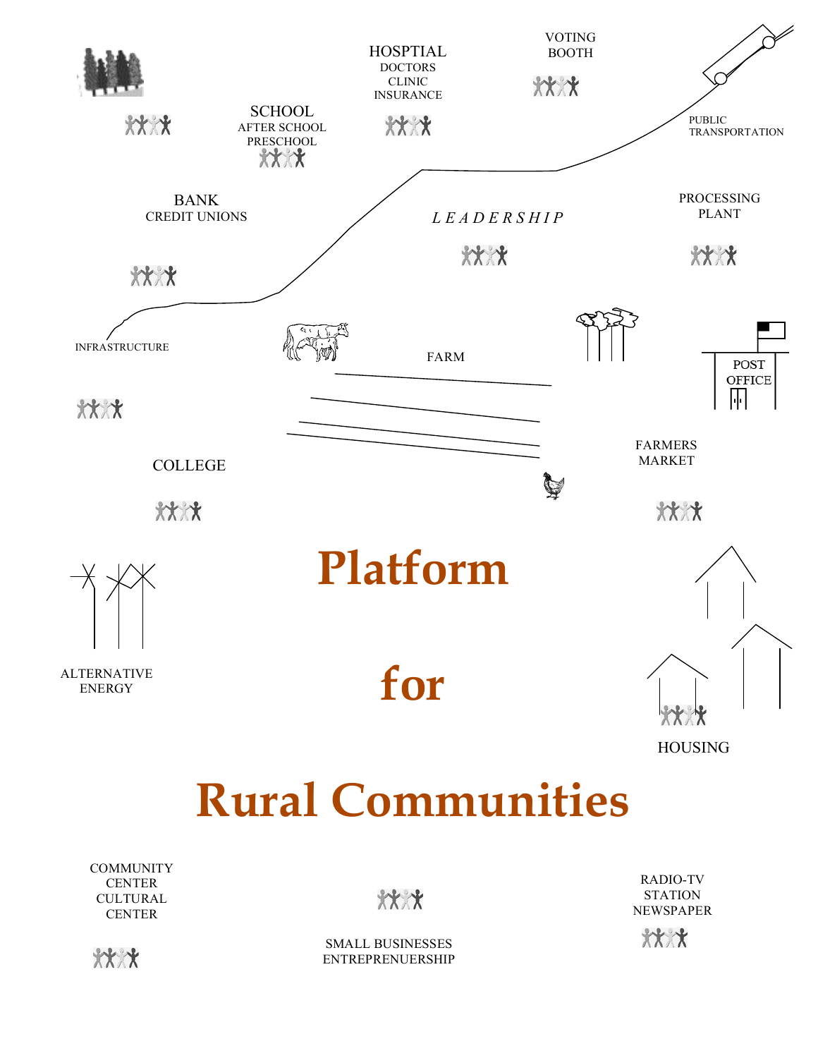

**COMMUNITY CENTER CULTURAL CENTER** 

 $***$ 

RADIO-TV **STATION** NEWSPAPER



\*\*\*\*

SMALL BUSINESSES ENTREPRENUERSHIP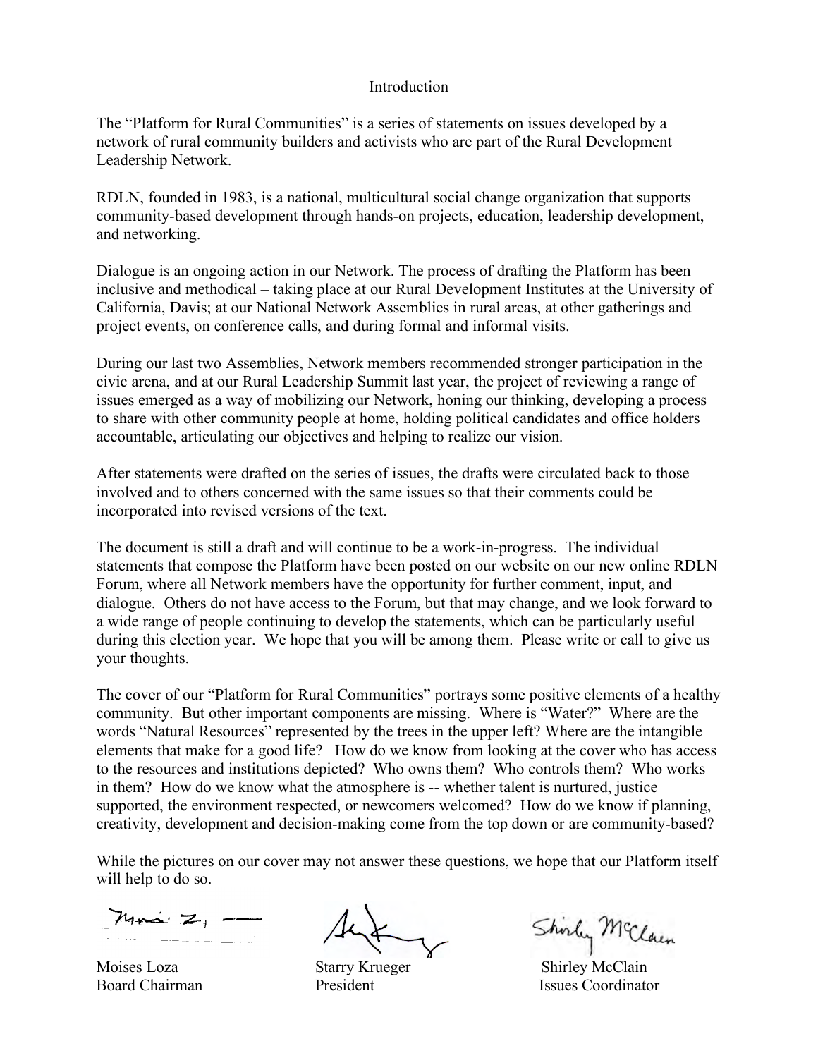### Introduction

The "Platform for Rural Communities" is a series of statements on issues developed by a network of rural community builders and activists who are part of the Rural Development Leadership Network.

RDLN, founded in 1983, is a national, multicultural social change organization that supports community-based development through hands-on projects, education, leadership development, and networking.

Dialogue is an ongoing action in our Network. The process of drafting the Platform has been inclusive and methodical – taking place at our Rural Development Institutes at the University of California, Davis; at our National Network Assemblies in rural areas, at other gatherings and project events, on conference calls, and during formal and informal visits.

During our last two Assemblies, Network members recommended stronger participation in the civic arena, and at our Rural Leadership Summit last year, the project of reviewing a range of issues emerged as a way of mobilizing our Network, honing our thinking, developing a process to share with other community people at home, holding political candidates and office holders accountable, articulating our objectives and helping to realize our vision.

After statements were drafted on the series of issues, the drafts were circulated back to those involved and to others concerned with the same issues so that their comments could be incorporated into revised versions of the text.

The document is still a draft and will continue to be a work-in-progress. The individual statements that compose the Platform have been posted on our website on our new online RDLN Forum, where all Network members have the opportunity for further comment, input, and dialogue. Others do not have access to the Forum, but that may change, and we look forward to a wide range of people continuing to develop the statements, which can be particularly useful during this election year. We hope that you will be among them. Please write or call to give us your thoughts.

The cover of our "Platform for Rural Communities" portrays some positive elements of a healthy community. But other important components are missing. Where is "Water?" Where are the words "Natural Resources" represented by the trees in the upper left? Where are the intangible elements that make for a good life? How do we know from looking at the cover who has access to the resources and institutions depicted? Who owns them? Who controls them? Who works in them? How do we know what the atmosphere is -- whether talent is nurtured, justice supported, the environment respected, or newcomers welcomed? How do we know if planning, creativity, development and decision-making come from the top down or are community-based?

While the pictures on our cover may not answer these questions, we hope that our Platform itself will help to do so.

 $M_{\text{max}} \geq 1$ 

Shorley McClain

Moises Loza Starry Krueger Shirley McClain Board Chairman **President** President Issues Coordinator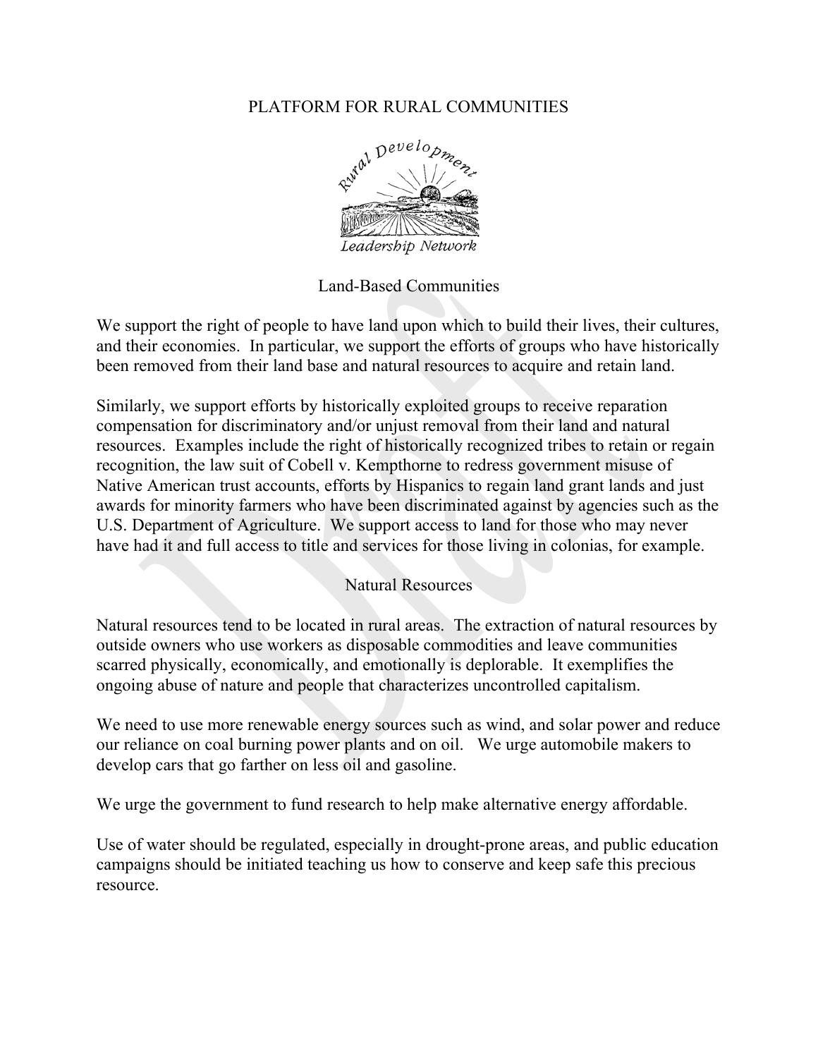# PLATFORM FOR RURAL COMMUNITIES



Land-Based Communities

We support the right of people to have land upon which to build their lives, their cultures, and their economies. In particular, we support the efforts of groups who have historically been removed from their land base and natural resources to acquire and retain land.

Similarly, we support efforts by historically exploited groups to receive reparation compensation for discriminatory and/or unjust removal from their land and natural resources. Examples include the right of historically recognized tribes to retain or regain recognition, the law suit of Cobell v. Kempthorne to redress government misuse of Native American trust accounts, efforts by Hispanics to regain land grant lands and just awards for minority farmers who have been discriminated against by agencies such as the U.S. Department of Agriculture. We support access to land for those who may never have had it and full access to title and services for those living in colonias, for example.

## Natural Resources

Natural resources tend to be located in rural areas. The extraction of natural resources by outside owners who use workers as disposable commodities and leave communities scarred physically, economically, and emotionally is deplorable. It exemplifies the ongoing abuse of nature and people that characterizes uncontrolled capitalism.

We need to use more renewable energy sources such as wind, and solar power and reduce our reliance on coal burning power plants and on oil. We urge automobile makers to develop cars that go farther on less oil and gasoline.

We urge the government to fund research to help make alternative energy affordable.

Use of water should be regulated, especially in drought-prone areas, and public education campaigns should be initiated teaching us how to conserve and keep safe this precious resource.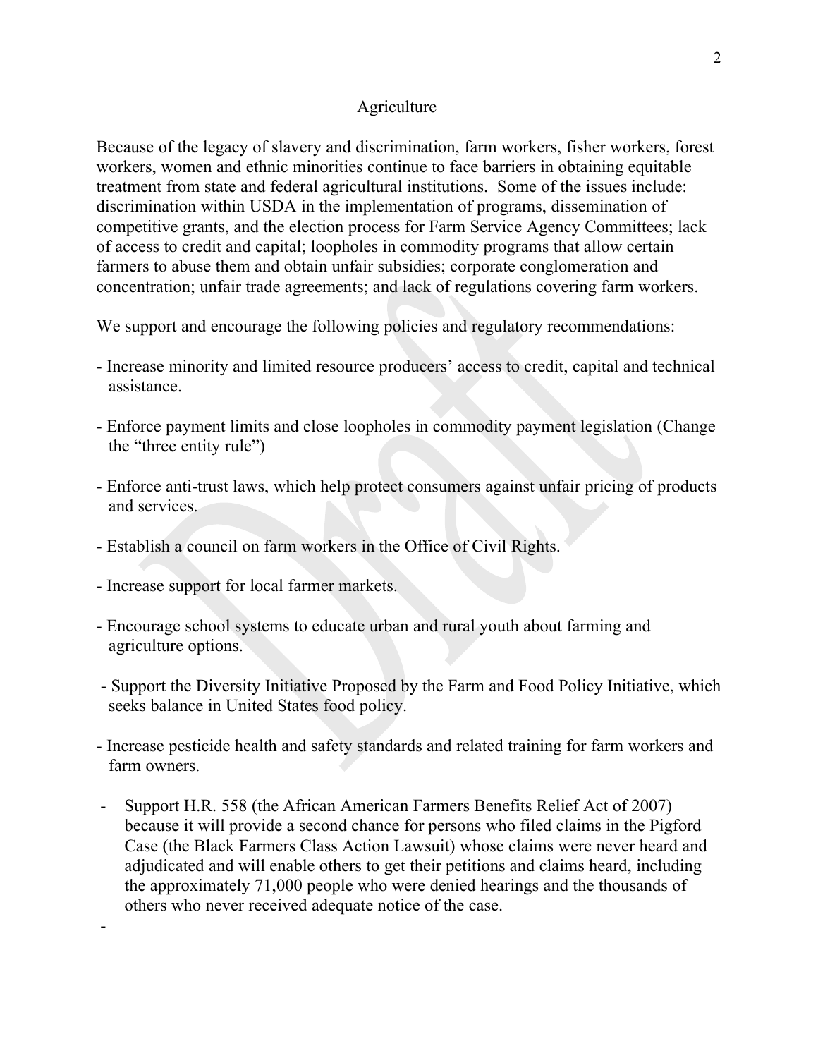### Agriculture

Because of the legacy of slavery and discrimination, farm workers, fisher workers, forest workers, women and ethnic minorities continue to face barriers in obtaining equitable treatment from state and federal agricultural institutions. Some of the issues include: discrimination within USDA in the implementation of programs, dissemination of competitive grants, and the election process for Farm Service Agency Committees; lack of access to credit and capital; loopholes in commodity programs that allow certain farmers to abuse them and obtain unfair subsidies; corporate conglomeration and concentration; unfair trade agreements; and lack of regulations covering farm workers.

We support and encourage the following policies and regulatory recommendations:

- Increase minority and limited resource producers' access to credit, capital and technical assistance.
- Enforce payment limits and close loopholes in commodity payment legislation (Change the "three entity rule")
- Enforce anti-trust laws, which help protect consumers against unfair pricing of products and services.
- Establish a council on farm workers in the Office of Civil Rights.
- Increase support for local farmer markets.

-

- Encourage school systems to educate urban and rural youth about farming and agriculture options.
- Support the Diversity Initiative Proposed by the Farm and Food Policy Initiative, which seeks balance in United States food policy.
- Increase pesticide health and safety standards and related training for farm workers and farm owners.
- Support H.R. 558 (the African American Farmers Benefits Relief Act of 2007) because it will provide a second chance for persons who filed claims in the Pigford Case (the Black Farmers Class Action Lawsuit) whose claims were never heard and adjudicated and will enable others to get their petitions and claims heard, including the approximately 71,000 people who were denied hearings and the thousands of others who never received adequate notice of the case.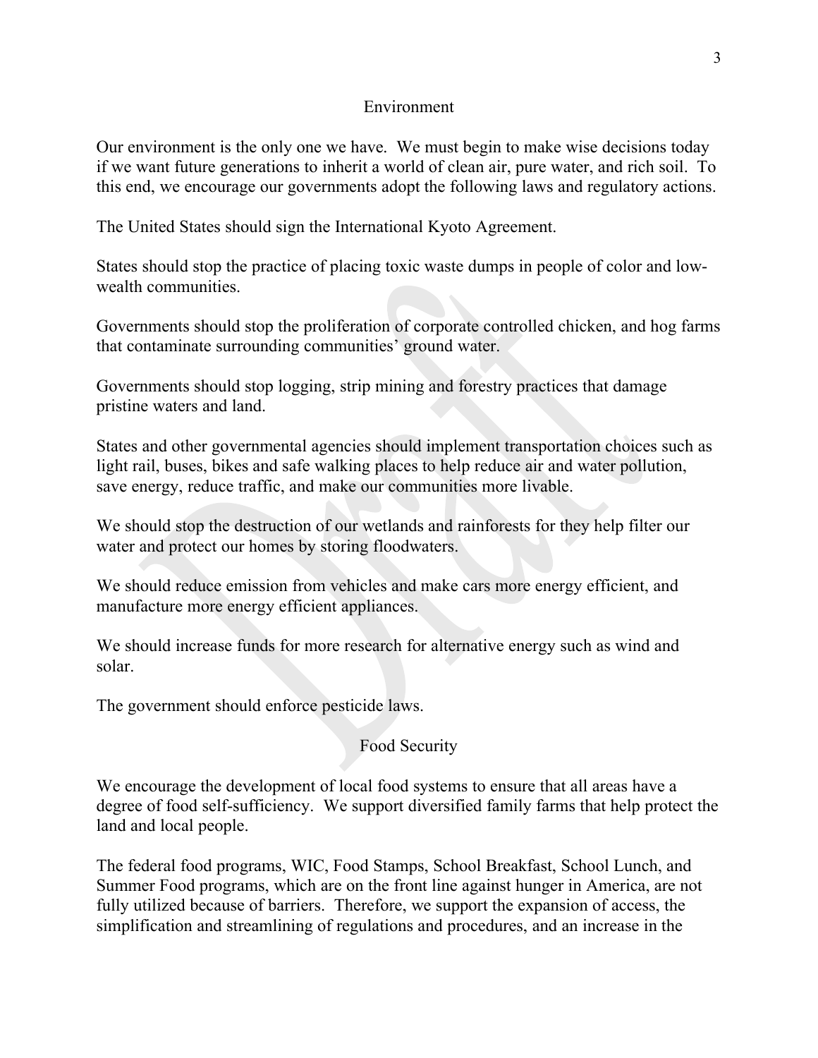### Environment

Our environment is the only one we have. We must begin to make wise decisions today if we want future generations to inherit a world of clean air, pure water, and rich soil. To this end, we encourage our governments adopt the following laws and regulatory actions.

The United States should sign the International Kyoto Agreement.

States should stop the practice of placing toxic waste dumps in people of color and lowwealth communities.

Governments should stop the proliferation of corporate controlled chicken, and hog farms that contaminate surrounding communities' ground water.

Governments should stop logging, strip mining and forestry practices that damage pristine waters and land.

States and other governmental agencies should implement transportation choices such as light rail, buses, bikes and safe walking places to help reduce air and water pollution, save energy, reduce traffic, and make our communities more livable.

We should stop the destruction of our wetlands and rainforests for they help filter our water and protect our homes by storing floodwaters.

We should reduce emission from vehicles and make cars more energy efficient, and manufacture more energy efficient appliances.

We should increase funds for more research for alternative energy such as wind and solar.

The government should enforce pesticide laws.

# Food Security

We encourage the development of local food systems to ensure that all areas have a degree of food self-sufficiency. We support diversified family farms that help protect the land and local people.

The federal food programs, WIC, Food Stamps, School Breakfast, School Lunch, and Summer Food programs, which are on the front line against hunger in America, are not fully utilized because of barriers. Therefore, we support the expansion of access, the simplification and streamlining of regulations and procedures, and an increase in the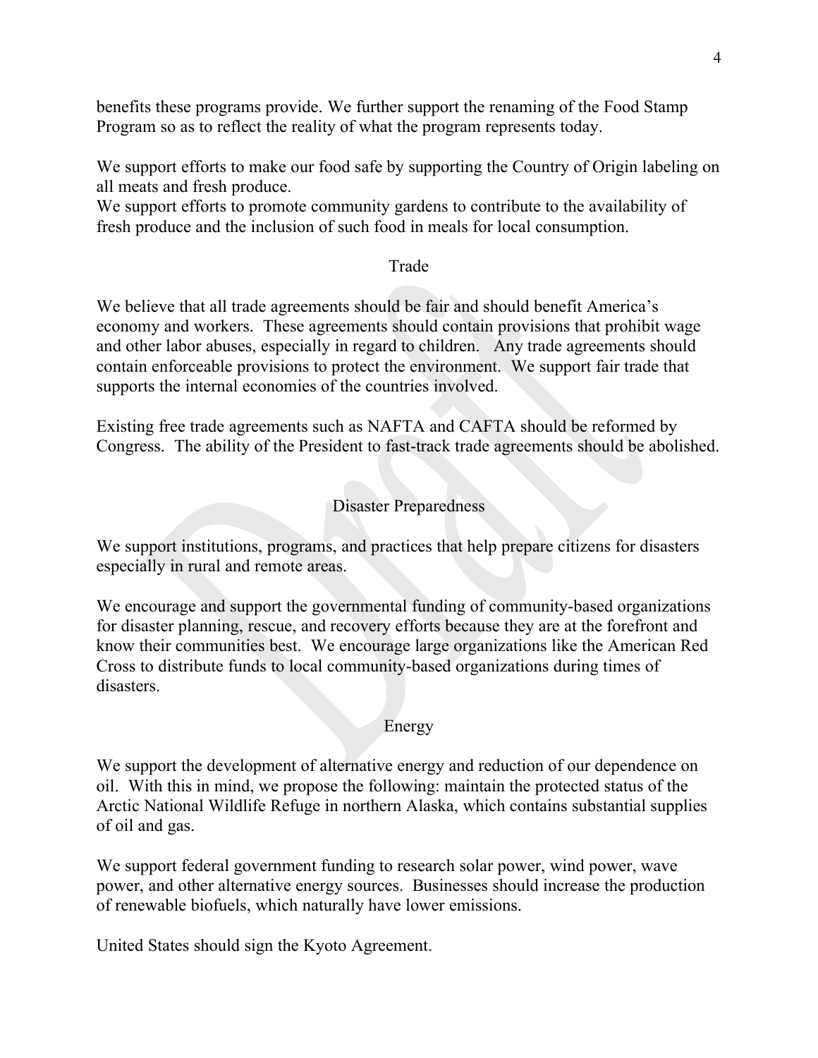benefits these programs provide. We further support the renaming of the Food Stamp Program so as to reflect the reality of what the program represents today.

We support efforts to make our food safe by supporting the Country of Origin labeling on all meats and fresh produce.

We support efforts to promote community gardens to contribute to the availability of fresh produce and the inclusion of such food in meals for local consumption.

### Trade

We believe that all trade agreements should be fair and should benefit America's economy and workers. These agreements should contain provisions that prohibit wage and other labor abuses, especially in regard to children. Any trade agreements should contain enforceable provisions to protect the environment. We support fair trade that supports the internal economies of the countries involved.

Existing free trade agreements such as NAFTA and CAFTA should be reformed by Congress. The ability of the President to fast-track trade agreements should be abolished.

Disaster Preparedness

We support institutions, programs, and practices that help prepare citizens for disasters especially in rural and remote areas.

We encourage and support the governmental funding of community-based organizations for disaster planning, rescue, and recovery efforts because they are at the forefront and know their communities best. We encourage large organizations like the American Red Cross to distribute funds to local community-based organizations during times of disasters.

### Energy

We support the development of alternative energy and reduction of our dependence on oil. With this in mind, we propose the following: maintain the protected status of the Arctic National Wildlife Refuge in northern Alaska, which contains substantial supplies of oil and gas.

We support federal government funding to research solar power, wind power, wave power, and other alternative energy sources. Businesses should increase the production of renewable biofuels, which naturally have lower emissions.

United States should sign the Kyoto Agreement.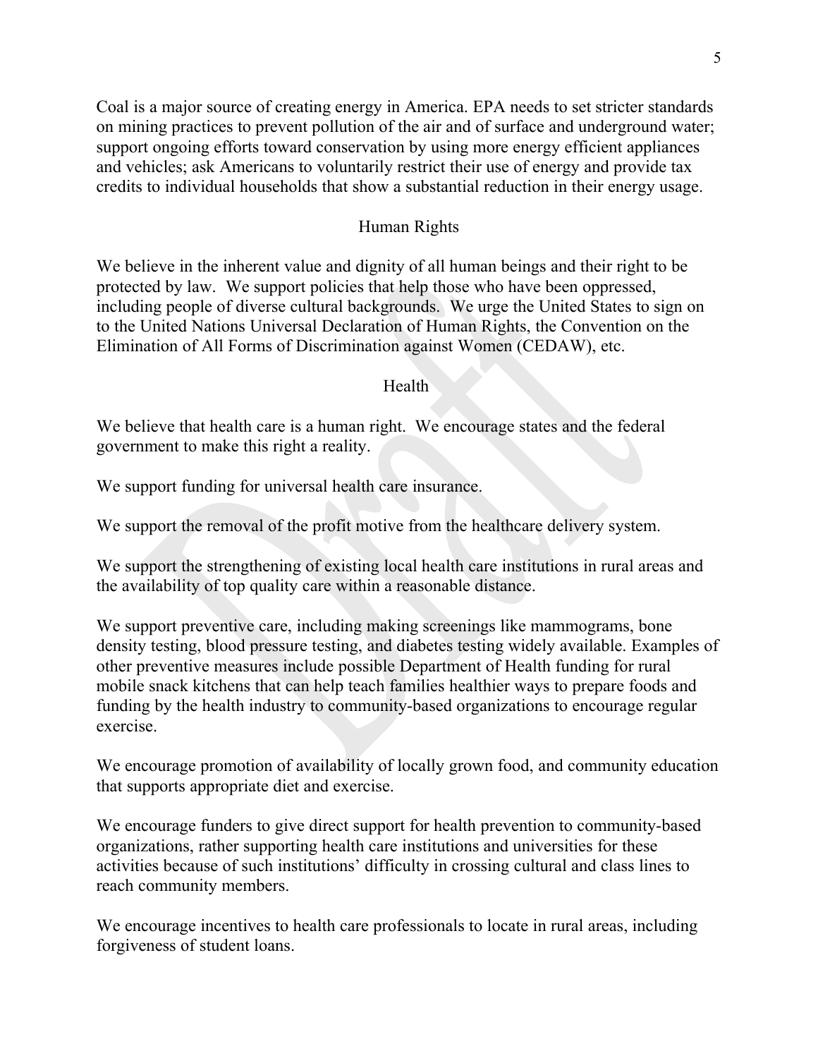Coal is a major source of creating energy in America. EPA needs to set stricter standards on mining practices to prevent pollution of the air and of surface and underground water; support ongoing efforts toward conservation by using more energy efficient appliances and vehicles; ask Americans to voluntarily restrict their use of energy and provide tax credits to individual households that show a substantial reduction in their energy usage.

### Human Rights

We believe in the inherent value and dignity of all human beings and their right to be protected by law. We support policies that help those who have been oppressed, including people of diverse cultural backgrounds. We urge the United States to sign on to the United Nations Universal Declaration of Human Rights, the Convention on the Elimination of All Forms of Discrimination against Women (CEDAW), etc.

### Health

We believe that health care is a human right. We encourage states and the federal government to make this right a reality.

We support funding for universal health care insurance.

We support the removal of the profit motive from the healthcare delivery system.

We support the strengthening of existing local health care institutions in rural areas and the availability of top quality care within a reasonable distance.

We support preventive care, including making screenings like mammograms, bone density testing, blood pressure testing, and diabetes testing widely available. Examples of other preventive measures include possible Department of Health funding for rural mobile snack kitchens that can help teach families healthier ways to prepare foods and funding by the health industry to community-based organizations to encourage regular exercise.

We encourage promotion of availability of locally grown food, and community education that supports appropriate diet and exercise.

We encourage funders to give direct support for health prevention to community-based organizations, rather supporting health care institutions and universities for these activities because of such institutions' difficulty in crossing cultural and class lines to reach community members.

We encourage incentives to health care professionals to locate in rural areas, including forgiveness of student loans.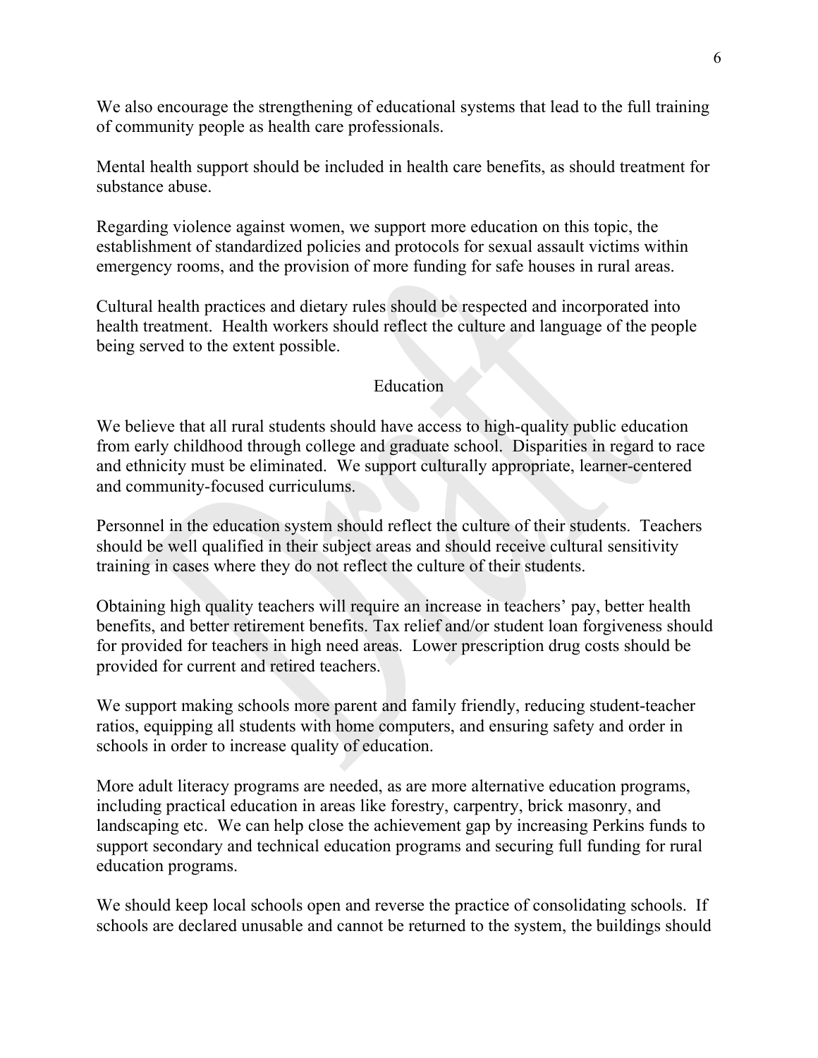We also encourage the strengthening of educational systems that lead to the full training of community people as health care professionals.

Mental health support should be included in health care benefits, as should treatment for substance abuse.

Regarding violence against women, we support more education on this topic, the establishment of standardized policies and protocols for sexual assault victims within emergency rooms, and the provision of more funding for safe houses in rural areas.

Cultural health practices and dietary rules should be respected and incorporated into health treatment. Health workers should reflect the culture and language of the people being served to the extent possible.

## Education

We believe that all rural students should have access to high-quality public education from early childhood through college and graduate school. Disparities in regard to race and ethnicity must be eliminated. We support culturally appropriate, learner-centered and community-focused curriculums.

Personnel in the education system should reflect the culture of their students. Teachers should be well qualified in their subject areas and should receive cultural sensitivity training in cases where they do not reflect the culture of their students.

Obtaining high quality teachers will require an increase in teachers' pay, better health benefits, and better retirement benefits. Tax relief and/or student loan forgiveness should for provided for teachers in high need areas. Lower prescription drug costs should be provided for current and retired teachers.

We support making schools more parent and family friendly, reducing student-teacher ratios, equipping all students with home computers, and ensuring safety and order in schools in order to increase quality of education.

More adult literacy programs are needed, as are more alternative education programs, including practical education in areas like forestry, carpentry, brick masonry, and landscaping etc. We can help close the achievement gap by increasing Perkins funds to support secondary and technical education programs and securing full funding for rural education programs.

We should keep local schools open and reverse the practice of consolidating schools. If schools are declared unusable and cannot be returned to the system, the buildings should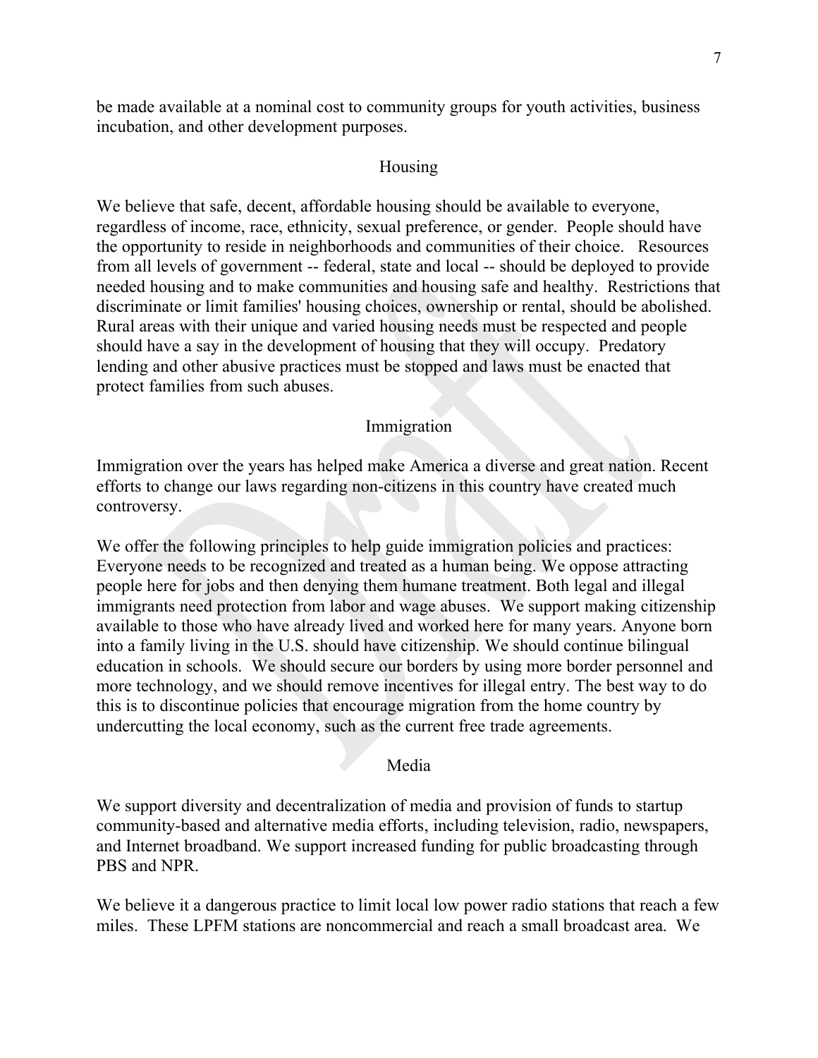be made available at a nominal cost to community groups for youth activities, business incubation, and other development purposes.

### Housing

We believe that safe, decent, affordable housing should be available to everyone, regardless of income, race, ethnicity, sexual preference, or gender. People should have the opportunity to reside in neighborhoods and communities of their choice. Resources from all levels of government -- federal, state and local -- should be deployed to provide needed housing and to make communities and housing safe and healthy. Restrictions that discriminate or limit families' housing choices, ownership or rental, should be abolished. Rural areas with their unique and varied housing needs must be respected and people should have a say in the development of housing that they will occupy. Predatory lending and other abusive practices must be stopped and laws must be enacted that protect families from such abuses.

### Immigration

Immigration over the years has helped make America a diverse and great nation. Recent efforts to change our laws regarding non-citizens in this country have created much controversy.

We offer the following principles to help guide immigration policies and practices: Everyone needs to be recognized and treated as a human being. We oppose attracting people here for jobs and then denying them humane treatment. Both legal and illegal immigrants need protection from labor and wage abuses. We support making citizenship available to those who have already lived and worked here for many years. Anyone born into a family living in the U.S. should have citizenship. We should continue bilingual education in schools. We should secure our borders by using more border personnel and more technology, and we should remove incentives for illegal entry. The best way to do this is to discontinue policies that encourage migration from the home country by undercutting the local economy, such as the current free trade agreements.

### Media

We support diversity and decentralization of media and provision of funds to startup community-based and alternative media efforts, including television, radio, newspapers, and Internet broadband. We support increased funding for public broadcasting through PBS and NPR.

We believe it a dangerous practice to limit local low power radio stations that reach a few miles. These LPFM stations are noncommercial and reach a small broadcast area. We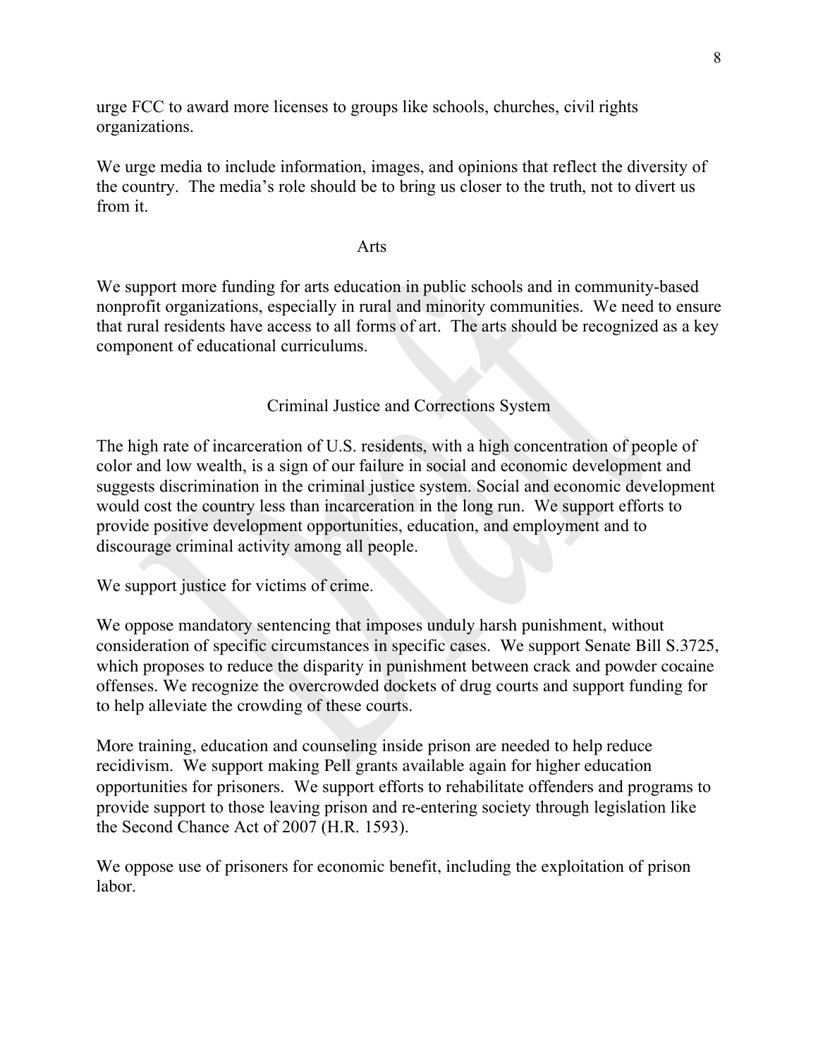urge FCC to award more licenses to groups like schools, churches, civil rights organizations.

We urge media to include information, images, and opinions that reflect the diversity of the country. The media's role should be to bring us closer to the truth, not to divert us from it.

### Arts

We support more funding for arts education in public schools and in community-based nonprofit organizations, especially in rural and minority communities. We need to ensure that rural residents have access to all forms of art. The arts should be recognized as a key component of educational curriculums.

## Criminal Justice and Corrections System

The high rate of incarceration of U.S. residents, with a high concentration of people of color and low wealth, is a sign of our failure in social and economic development and suggests discrimination in the criminal justice system. Social and economic development would cost the country less than incarceration in the long run. We support efforts to provide positive development opportunities, education, and employment and to discourage criminal activity among all people.

We support justice for victims of crime.

We oppose mandatory sentencing that imposes unduly harsh punishment, without consideration of specific circumstances in specific cases. We support Senate Bill S.3725, which proposes to reduce the disparity in punishment between crack and powder cocaine offenses. We recognize the overcrowded dockets of drug courts and support funding for to help alleviate the crowding of these courts.

More training, education and counseling inside prison are needed to help reduce recidivism. We support making Pell grants available again for higher education opportunities for prisoners. We support efforts to rehabilitate offenders and programs to provide support to those leaving prison and re-entering society through legislation like the Second Chance Act of 2007 (H.R. 1593).

We oppose use of prisoners for economic benefit, including the exploitation of prison labor.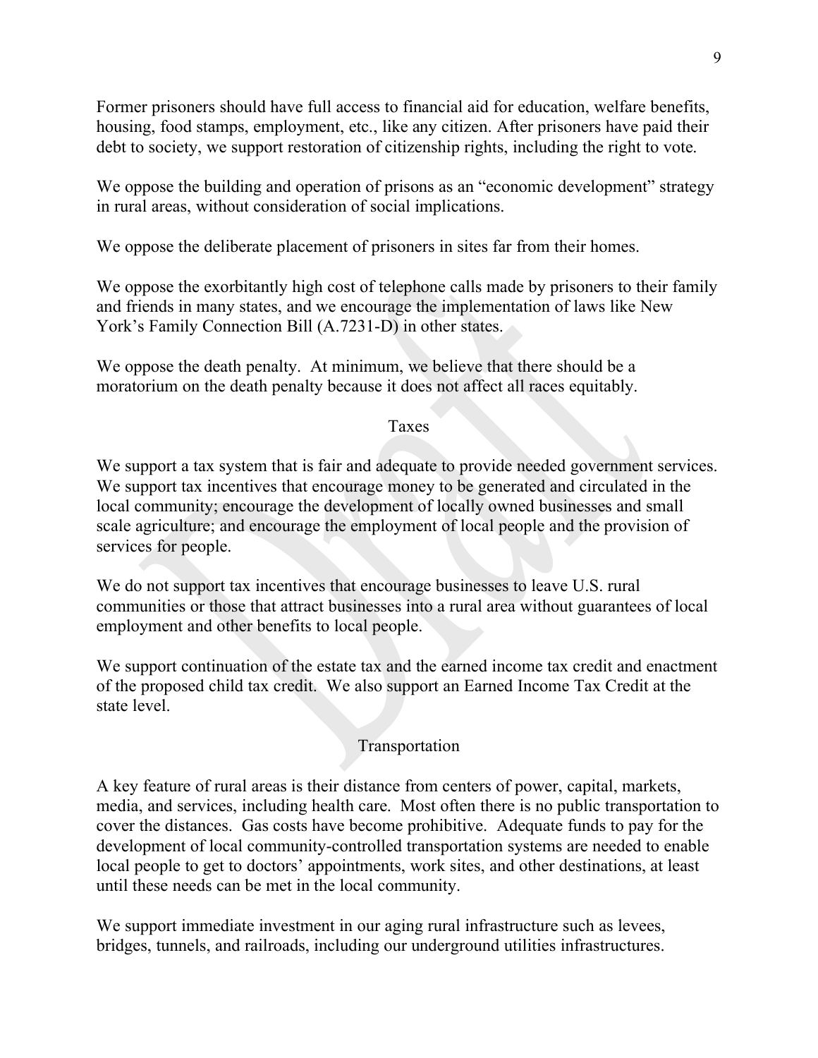Former prisoners should have full access to financial aid for education, welfare benefits, housing, food stamps, employment, etc., like any citizen. After prisoners have paid their debt to society, we support restoration of citizenship rights, including the right to vote.

We oppose the building and operation of prisons as an "economic development" strategy in rural areas, without consideration of social implications.

We oppose the deliberate placement of prisoners in sites far from their homes.

We oppose the exorbitantly high cost of telephone calls made by prisoners to their family and friends in many states, and we encourage the implementation of laws like New York's Family Connection Bill (A.7231-D) in other states.

We oppose the death penalty. At minimum, we believe that there should be a moratorium on the death penalty because it does not affect all races equitably.

## Taxes

We support a tax system that is fair and adequate to provide needed government services. We support tax incentives that encourage money to be generated and circulated in the local community; encourage the development of locally owned businesses and small scale agriculture; and encourage the employment of local people and the provision of services for people.

We do not support tax incentives that encourage businesses to leave U.S. rural communities or those that attract businesses into a rural area without guarantees of local employment and other benefits to local people.

We support continuation of the estate tax and the earned income tax credit and enactment of the proposed child tax credit. We also support an Earned Income Tax Credit at the state level.

# Transportation

A key feature of rural areas is their distance from centers of power, capital, markets, media, and services, including health care. Most often there is no public transportation to cover the distances. Gas costs have become prohibitive. Adequate funds to pay for the development of local community-controlled transportation systems are needed to enable local people to get to doctors' appointments, work sites, and other destinations, at least until these needs can be met in the local community.

We support immediate investment in our aging rural infrastructure such as levees, bridges, tunnels, and railroads, including our underground utilities infrastructures.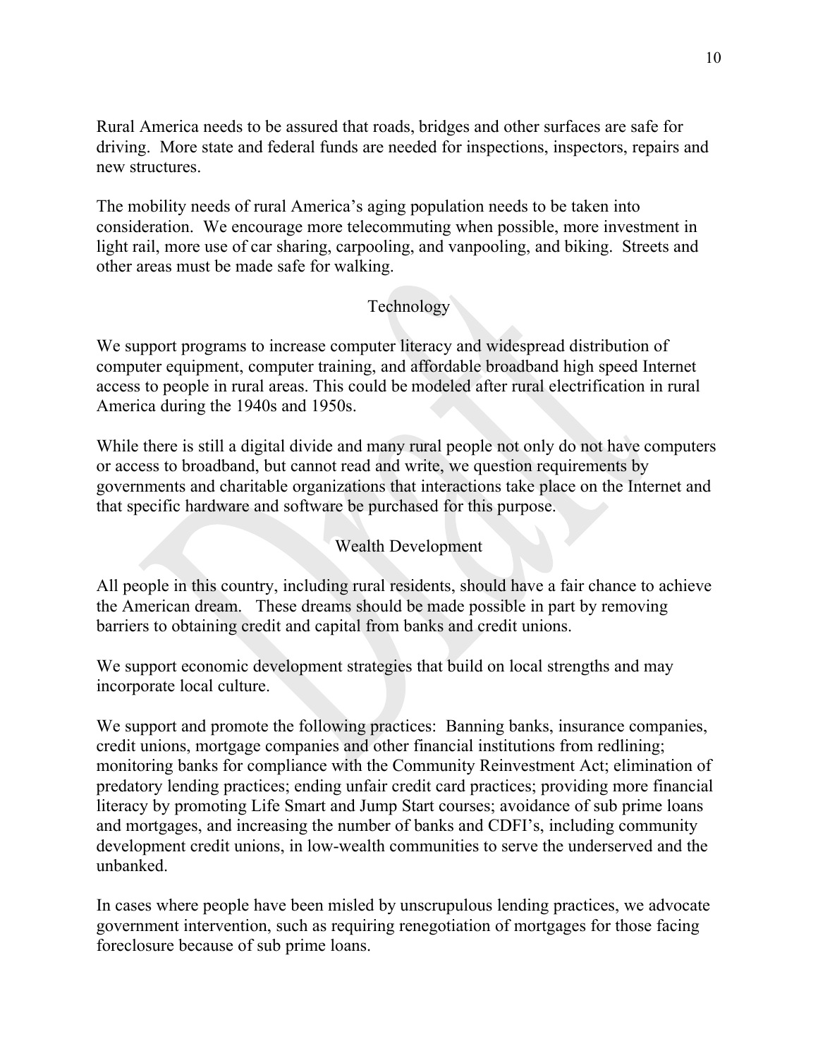Rural America needs to be assured that roads, bridges and other surfaces are safe for driving. More state and federal funds are needed for inspections, inspectors, repairs and new structures.

The mobility needs of rural America's aging population needs to be taken into consideration. We encourage more telecommuting when possible, more investment in light rail, more use of car sharing, carpooling, and vanpooling, and biking. Streets and other areas must be made safe for walking.

# Technology

We support programs to increase computer literacy and widespread distribution of computer equipment, computer training, and affordable broadband high speed Internet access to people in rural areas. This could be modeled after rural electrification in rural America during the 1940s and 1950s.

While there is still a digital divide and many rural people not only do not have computers or access to broadband, but cannot read and write, we question requirements by governments and charitable organizations that interactions take place on the Internet and that specific hardware and software be purchased for this purpose.

## Wealth Development

All people in this country, including rural residents, should have a fair chance to achieve the American dream. These dreams should be made possible in part by removing barriers to obtaining credit and capital from banks and credit unions.

We support economic development strategies that build on local strengths and may incorporate local culture.

We support and promote the following practices: Banning banks, insurance companies, credit unions, mortgage companies and other financial institutions from redlining; monitoring banks for compliance with the Community Reinvestment Act; elimination of predatory lending practices; ending unfair credit card practices; providing more financial literacy by promoting Life Smart and Jump Start courses; avoidance of sub prime loans and mortgages, and increasing the number of banks and CDFI's, including community development credit unions, in low-wealth communities to serve the underserved and the unbanked.

In cases where people have been misled by unscrupulous lending practices, we advocate government intervention, such as requiring renegotiation of mortgages for those facing foreclosure because of sub prime loans.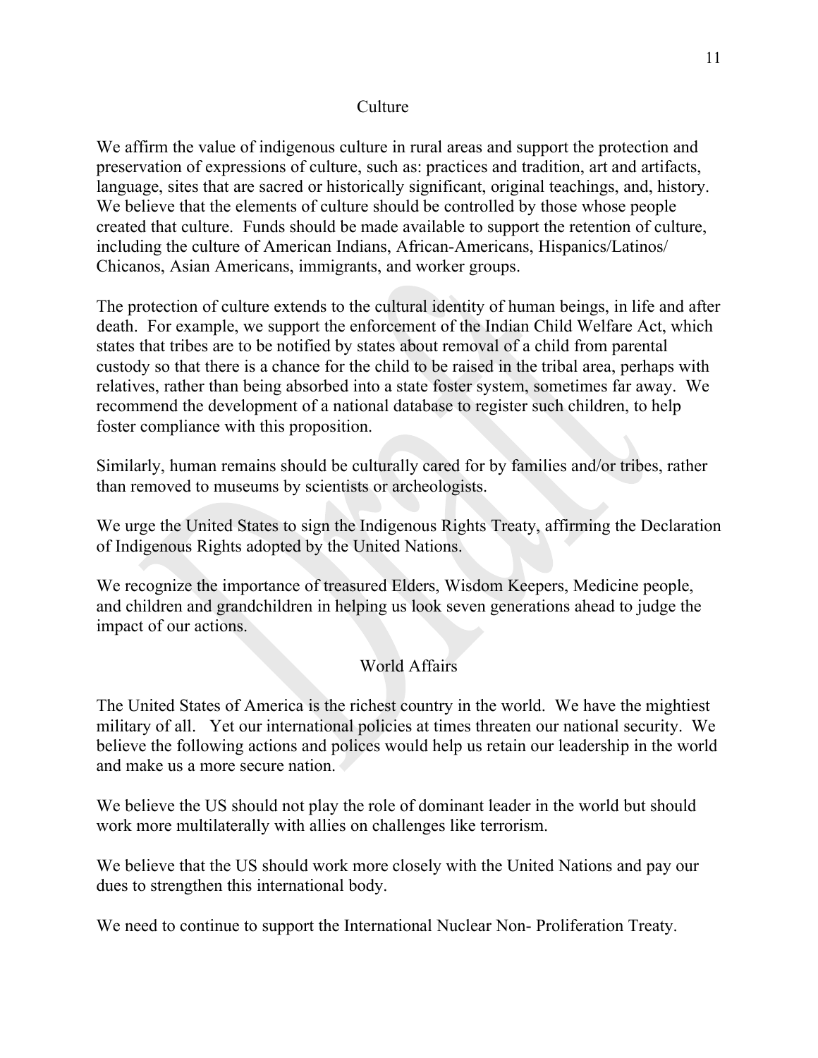### Culture

We affirm the value of indigenous culture in rural areas and support the protection and preservation of expressions of culture, such as: practices and tradition, art and artifacts, language, sites that are sacred or historically significant, original teachings, and, history. We believe that the elements of culture should be controlled by those whose people created that culture. Funds should be made available to support the retention of culture, including the culture of American Indians, African-Americans, Hispanics/Latinos/ Chicanos, Asian Americans, immigrants, and worker groups.

The protection of culture extends to the cultural identity of human beings, in life and after death. For example, we support the enforcement of the Indian Child Welfare Act, which states that tribes are to be notified by states about removal of a child from parental custody so that there is a chance for the child to be raised in the tribal area, perhaps with relatives, rather than being absorbed into a state foster system, sometimes far away. We recommend the development of a national database to register such children, to help foster compliance with this proposition.

Similarly, human remains should be culturally cared for by families and/or tribes, rather than removed to museums by scientists or archeologists.

We urge the United States to sign the Indigenous Rights Treaty, affirming the Declaration of Indigenous Rights adopted by the United Nations.

We recognize the importance of treasured Elders, Wisdom Keepers, Medicine people, and children and grandchildren in helping us look seven generations ahead to judge the impact of our actions.

# World Affairs

The United States of America is the richest country in the world. We have the mightiest military of all. Yet our international policies at times threaten our national security. We believe the following actions and polices would help us retain our leadership in the world and make us a more secure nation.

We believe the US should not play the role of dominant leader in the world but should work more multilaterally with allies on challenges like terrorism.

We believe that the US should work more closely with the United Nations and pay our dues to strengthen this international body.

We need to continue to support the International Nuclear Non- Proliferation Treaty.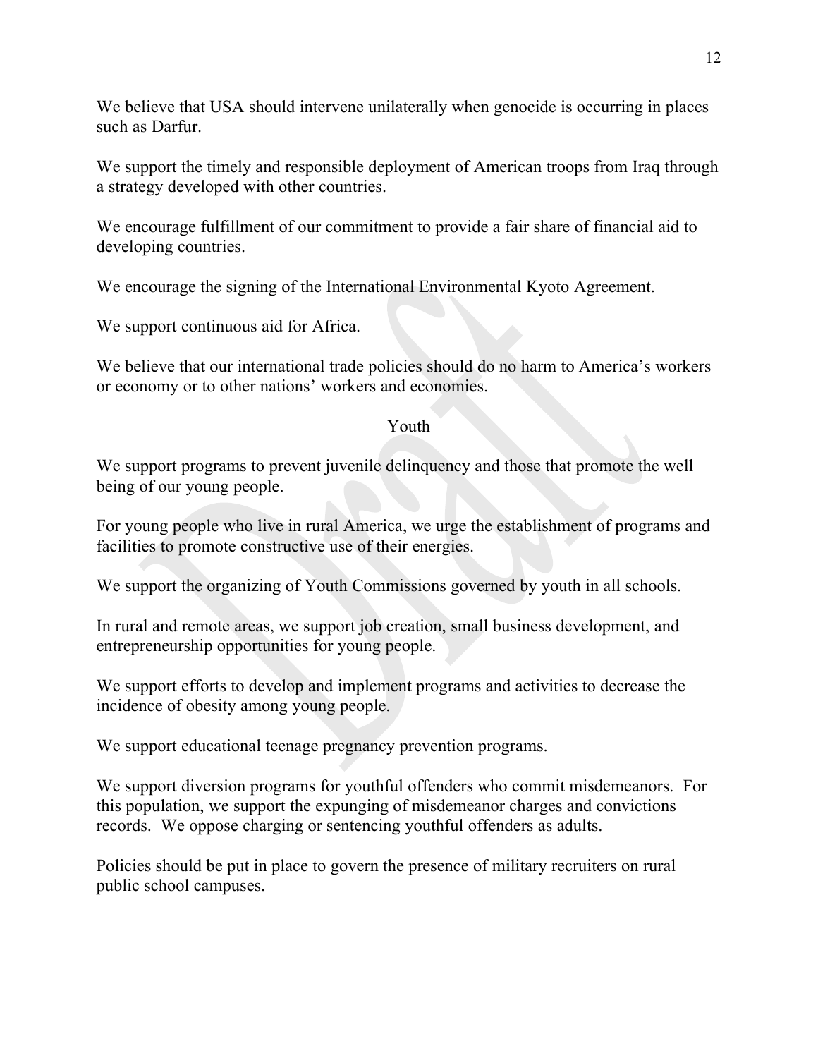We believe that USA should intervene unilaterally when genocide is occurring in places such as Darfur.

We support the timely and responsible deployment of American troops from Iraq through a strategy developed with other countries.

We encourage fulfillment of our commitment to provide a fair share of financial aid to developing countries.

We encourage the signing of the International Environmental Kyoto Agreement.

We support continuous aid for Africa.

We believe that our international trade policies should do no harm to America's workers or economy or to other nations' workers and economies.

## Youth

We support programs to prevent juvenile delinquency and those that promote the well being of our young people.

For young people who live in rural America, we urge the establishment of programs and facilities to promote constructive use of their energies.

We support the organizing of Youth Commissions governed by youth in all schools.

In rural and remote areas, we support job creation, small business development, and entrepreneurship opportunities for young people.

We support efforts to develop and implement programs and activities to decrease the incidence of obesity among young people.

We support educational teenage pregnancy prevention programs.

We support diversion programs for youthful offenders who commit misdemeanors. For this population, we support the expunging of misdemeanor charges and convictions records. We oppose charging or sentencing youthful offenders as adults.

Policies should be put in place to govern the presence of military recruiters on rural public school campuses.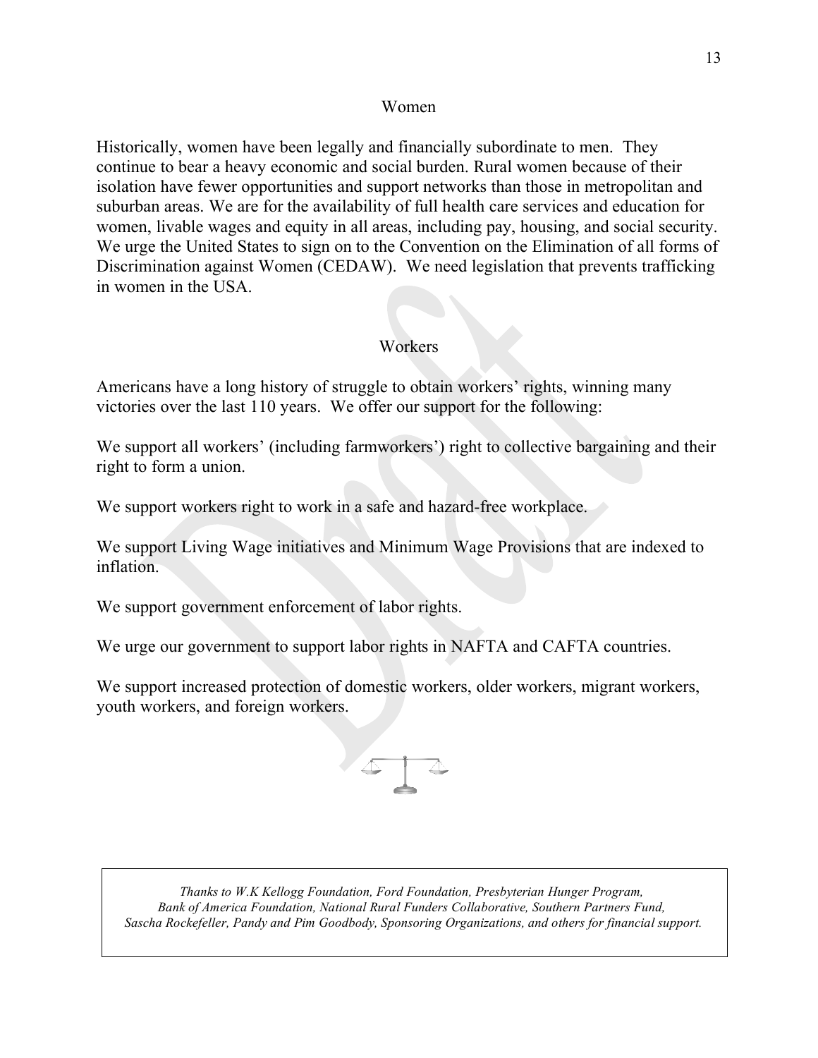### Women

Historically, women have been legally and financially subordinate to men. They continue to bear a heavy economic and social burden. Rural women because of their isolation have fewer opportunities and support networks than those in metropolitan and suburban areas. We are for the availability of full health care services and education for women, livable wages and equity in all areas, including pay, housing, and social security. We urge the United States to sign on to the Convention on the Elimination of all forms of Discrimination against Women (CEDAW). We need legislation that prevents trafficking in women in the USA.

# Workers

Americans have a long history of struggle to obtain workers' rights, winning many victories over the last 110 years. We offer our support for the following:

We support all workers' (including farmworkers') right to collective bargaining and their right to form a union.

We support workers right to work in a safe and hazard-free workplace.

We support Living Wage initiatives and Minimum Wage Provisions that are indexed to inflation.

We support government enforcement of labor rights.

We urge our government to support labor rights in NAFTA and CAFTA countries.

We support increased protection of domestic workers, older workers, migrant workers, youth workers, and foreign workers.



*Thanks to W.K Kellogg Foundation, Ford Foundation, Presbyterian Hunger Program, Bank of America Foundation, National Rural Funders Collaborative, Southern Partners Fund, Sascha Rockefeller, Pandy and Pim Goodbody, Sponsoring Organizations, and others for financial support.*